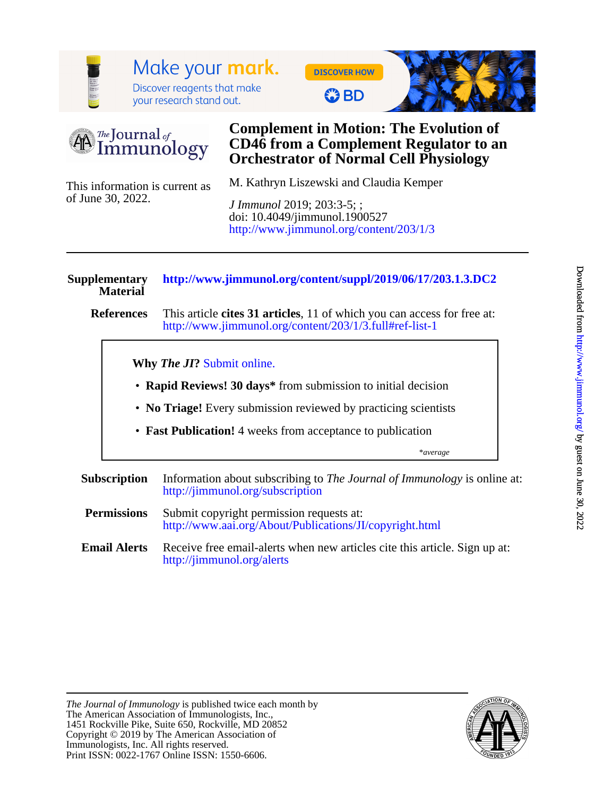

**DISCOVER HOW** 

**C3 BD** 



### The Journal of Immunology

### **Orchestrator of Normal Cell Physiology CD46 from a Complement Regulator to an Complement in Motion: The Evolution of**

of June 30, 2022. This information is current as M. Kathryn Liszewski and Claudia Kemper

<http://www.jimmunol.org/content/203/1/3> doi: 10.4049/jimmunol.1900527 *J Immunol* 2019; 203:3-5; ;

### **Material Supplementary <http://www.jimmunol.org/content/suppl/2019/06/17/203.1.3.DC2> References** <http://www.jimmunol.org/content/203/1/3.full#ref-list-1> This article **cites 31 articles**, 11 of which you can access for free at: \**average* • **Fast Publication!** 4 weeks from acceptance to publication • **No Triage!** Every submission reviewed by practicing scientists • **Rapid Reviews! 30 days\*** from submission to initial decision **Why** *The JI***?** [Submit online.](https://ji.msubmit.net) **Subscription** <http://jimmunol.org/subscription> Information about subscribing to *The Journal of Immunology* is online at: **Permissions** <http://www.aai.org/About/Publications/JI/copyright.html> Submit copyright permission requests at: **Email Alerts** Receive free email-alerts when new articles cite this article. Sign up at:

<http://jimmunol.org/alerts>

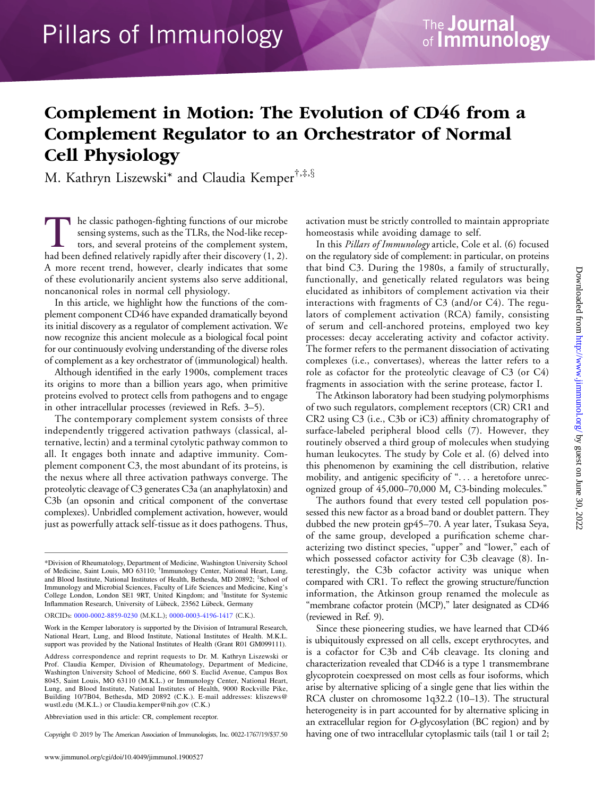# The **Journal**<br>of **Immunology**

## Complement in Motion: The Evolution of CD46 from a Cell Physiology

[M. Kathryn Liszewski](http://orcid.org/0000-0002-8859-0230)\* and [Claudia Kemper](http://orcid.org/0000-0003-4196-1417)<sup>†,‡,§</sup>

The classic pathogen-fighting functions of our microbe<br>
sensing systems, such as the TLRs, the Nod-like recep-<br>
tors, and several proteins of the complement system,<br>
had been defined relatively rapidly after their discover sensing systems, such as the TLRs, the Nod-like recephad been defined relatively rapidly after their discovery (1, 2). A more recent trend, however, clearly indicates that some of these evolutionarily ancient systems also serve additional, noncanonical roles in normal cell physiology.

In this article, we highlight how the functions of the complement component CD46 have expanded dramatically beyond its initial discovery as a regulator of complement activation. We now recognize this ancient molecule as a biological focal point for our continuously evolving understanding of the diverse roles of complement as a key orchestrator of (immunological) health.

Although identified in the early 1900s, complement traces its origins to more than a billion years ago, when primitive proteins evolved to protect cells from pathogens and to engage in other intracellular processes (reviewed in Refs. 3–5).

The contemporary complement system consists of three independently triggered activation pathways (classical, alternative, lectin) and a terminal cytolytic pathway common to all. It engages both innate and adaptive immunity. Complement component C3, the most abundant of its proteins, is the nexus where all three activation pathways converge. The proteolytic cleavage of C3 generates C3a (an anaphylatoxin) and C3b (an opsonin and critical component of the convertase complexes). Unbridled complement activation, however, would just as powerfully attack self-tissue as it does pathogens. Thus,

ORCIDs: [0000-0002-8859-0230](http://orcid.org/0000-0002-8859-0230) (M.K.L.); [0000-0003-4196-1417](http://orcid.org/0000-0003-4196-1417) (C.K.).

Abbreviation used in this article: CR, complement receptor.

Copyright 2019 by The American Association of Immunologists, Inc. 0022-1767/19/\$37.50

activation must be strictly controlled to maintain appropriate homeostasis while avoiding damage to self.

In this Pillars of Immunology article, Cole et al. (6) focused on the regulatory side of complement: in particular, on proteins that bind C3. During the 1980s, a family of structurally, functionally, and genetically related regulators was being elucidated as inhibitors of complement activation via their interactions with fragments of C3 (and/or C4). The regulators of complement activation (RCA) family, consisting of serum and cell-anchored proteins, employed two key processes: decay accelerating activity and cofactor activity. The former refers to the permanent dissociation of activating complexes (i.e., convertases), whereas the latter refers to a role as cofactor for the proteolytic cleavage of C3 (or C4) fragments in association with the serine protease, factor I.

The Atkinson laboratory had been studying polymorphisms of two such regulators, complement receptors (CR) CR1 and CR2 using C3 (i.e., C3b or iC3) affinity chromatography of surface-labeled peripheral blood cells (7). However, they routinely observed a third group of molecules when studying human leukocytes. The study by Cole et al. (6) delved into this phenomenon by examining the cell distribution, relative mobility, and antigenic specificity of "... a heretofore unrecognized group of 45,000–70,000 Mr C3-binding molecules."

The authors found that every tested cell population possessed this new factor as a broad band or doublet pattern. They dubbed the new protein gp45–70. A year later, Tsukasa Seya, of the same group, developed a purification scheme characterizing two distinct species, "upper" and "lower," each of which possessed cofactor activity for C3b cleavage (8). Interestingly, the C3b cofactor activity was unique when compared with CR1. To reflect the growing structure/function information, the Atkinson group renamed the molecule as "membrane cofactor protein (MCP)," later designated as CD46 (reviewed in Ref. 9).

Since these pioneering studies, we have learned that CD46 is ubiquitously expressed on all cells, except erythrocytes, and is a cofactor for C3b and C4b cleavage. Its cloning and characterization revealed that CD46 is a type 1 transmembrane glycoprotein coexpressed on most cells as four isoforms, which arise by alternative splicing of a single gene that lies within the RCA cluster on chromosome 1q32.2 (10–13). The structural heterogeneity is in part accounted for by alternative splicing in an extracellular region for O-glycosylation (BC region) and by having one of two intracellular cytoplasmic tails (tail 1 or tail 2;

<sup>\*</sup>Division of Rheumatology, Department of Medicine, Washington University School of Medicine, Saint Louis, MO 63110; † Immunology Center, National Heart, Lung, and Blood Institute, National Institutes of Health, Bethesda, MD 20892; <sup>‡</sup>School of Immunology and Microbial Sciences, Faculty of Life Sciences and Medicine, King's College London, London SE1 9RT, United Kingdom; and <sup>§</sup>Institute for Systemic Inflammation Research, University of Lübeck, 23562 Lübeck, Germany

Work in the Kemper laboratory is supported by the Division of Intramural Research, National Heart, Lung, and Blood Institute, National Institutes of Health. M.K.L. support was provided by the National Institutes of Health (Grant R01 GM099111).

Address correspondence and reprint requests to Dr. M. Kathryn Liszewski or Prof. Claudia Kemper, Division of Rheumatology, Department of Medicine, Washington University School of Medicine, 660 S. Euclid Avenue, Campus Box 8045, Saint Louis, MO 63110 (M.K.L.) or Immunology Center, National Heart, Lung, and Blood Institute, National Institutes of Health, 9000 Rockville Pike, Building 10/7B04, Bethesda, MD 20892 (C.K.). E-mail addresses: [kliszews@](mailto:kliszews@wustl.edu) [wustl.edu](mailto:kliszews@wustl.edu) (M.K.L.) or [Claudia.kemper@nih.gov](mailto:Claudia.kemper@nih.gov) (C.K.)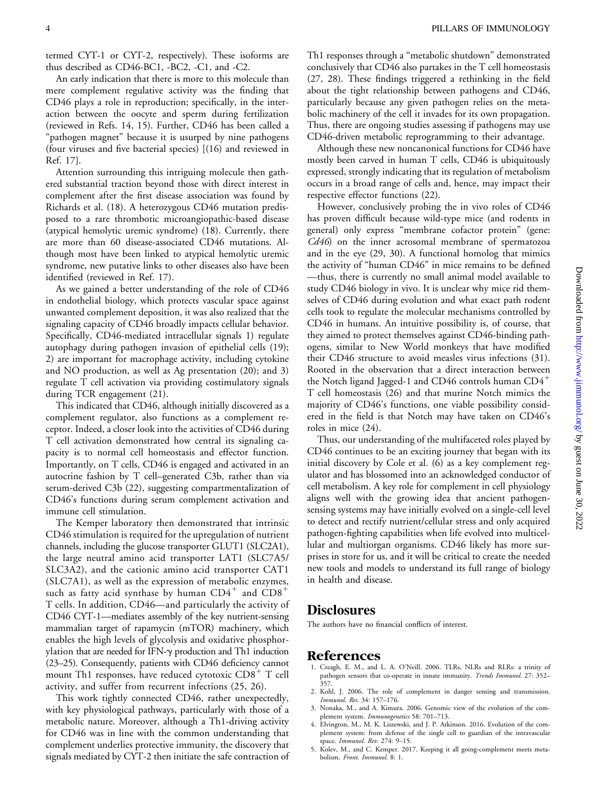termed CYT-1 or CYT-2, respectively). These isoforms are thus described as CD46-BC1, -BC2, -C1, and -C2.

An early indication that there is more to this molecule than mere complement regulative activity was the finding that CD46 plays a role in reproduction; specifically, in the interaction between the oocyte and sperm during fertilization (reviewed in Refs. 14, 15). Further, CD46 has been called a "pathogen magnet" because it is usurped by nine pathogens (four viruses and five bacterial species) [(16) and reviewed in Ref. 17].

Attention surrounding this intriguing molecule then gathered substantial traction beyond those with direct interest in complement after the first disease association was found by Richards et al. (18). A heterozygous CD46 mutation predisposed to a rare thrombotic microangiopathic-based disease (atypical hemolytic uremic syndrome) (18). Currently, there are more than 60 disease-associated CD46 mutations. Although most have been linked to atypical hemolytic uremic syndrome, new putative links to other diseases also have been identified (reviewed in Ref. 17).

As we gained a better understanding of the role of CD46 in endothelial biology, which protects vascular space against unwanted complement deposition, it was also realized that the signaling capacity of CD46 broadly impacts cellular behavior. Specifically, CD46-mediated intracellular signals 1) regulate autophagy during pathogen invasion of epithelial cells (19); 2) are important for macrophage activity, including cytokine and NO production, as well as Ag presentation (20); and 3) regulate T cell activation via providing costimulatory signals during TCR engagement (21).

This indicated that CD46, although initially discovered as a complement regulator, also functions as a complement receptor. Indeed, a closer look into the activities of CD46 during T cell activation demonstrated how central its signaling capacity is to normal cell homeostasis and effector function. Importantly, on T cells, CD46 is engaged and activated in an autocrine fashion by T cell–generated C3b, rather than via serum-derived C3b (22), suggesting compartmentalization of CD46's functions during serum complement activation and immune cell stimulation.

The Kemper laboratory then demonstrated that intrinsic CD46 stimulation is required for the upregulation of nutrient channels, including the glucose transporter GLUT1 (SLC2A1), the large neutral amino acid transporter LAT1 (SLC7A5/ SLC3A2), and the cationic amino acid transporter CAT1 (SLC7A1), as well as the expression of metabolic enzymes, such as fatty acid synthase by human  $CD4^+$  and  $CD8^+$ T cells. In addition, CD46—and particularly the activity of CD46 CYT-1—mediates assembly of the key nutrient-sensing mammalian target of rapamycin (mTOR) machinery, which enables the high levels of glycolysis and oxidative phosphorylation that are needed for IFN-g production and Th1 induction (23–25). Consequently, patients with CD46 deficiency cannot mount Th1 responses, have reduced cytotoxic  $CD8<sup>+</sup>$  T cell activity, and suffer from recurrent infections (25, 26).

This work tightly connected CD46, rather unexpectedly, with key physiological pathways, particularly with those of a metabolic nature. Moreover, although a Th1-driving activity for CD46 was in line with the common understanding that complement underlies protective immunity, the discovery that signals mediated by CYT-2 then initiate the safe contraction of Th1 responses through a "metabolic shutdown" demonstrated conclusively that CD46 also partakes in the T cell homeostasis (27, 28). These findings triggered a rethinking in the field about the tight relationship between pathogens and CD46, particularly because any given pathogen relies on the metabolic machinery of the cell it invades for its own propagation. Thus, there are ongoing studies assessing if pathogens may use CD46-driven metabolic reprogramming to their advantage.

Although these new noncanonical functions for CD46 have mostly been carved in human T cells, CD46 is ubiquitously expressed, strongly indicating that its regulation of metabolism occurs in a broad range of cells and, hence, may impact their respective effector functions (22).

However, conclusively probing the in vivo roles of CD46 has proven difficult because wild-type mice (and rodents in general) only express "membrane cofactor protein" (gene: Cd46) on the inner acrosomal membrane of spermatozoa and in the eye (29, 30). A functional homolog that mimics the activity of "human CD46" in mice remains to be defined —thus, there is currently no small animal model available to study CD46 biology in vivo. It is unclear why mice rid themselves of CD46 during evolution and what exact path rodent cells took to regulate the molecular mechanisms controlled by CD46 in humans. An intuitive possibility is, of course, that they aimed to protect themselves against CD46-binding pathogens, similar to New World monkeys that have modified their CD46 structure to avoid measles virus infections (31). Rooted in the observation that a direct interaction between the Notch ligand Jagged-1 and CD46 controls human  $CD4^+$ T cell homeostasis (26) and that murine Notch mimics the majority of CD46's functions, one viable possibility considered in the field is that Notch may have taken on CD46's roles in mice (24).

Thus, our understanding of the multifaceted roles played by CD46 continues to be an exciting journey that began with its initial discovery by Cole et al. (6) as a key complement regulator and has blossomed into an acknowledged conductor of cell metabolism. A key role for complement in cell physiology aligns well with the growing idea that ancient pathogensensing systems may have initially evolved on a single-cell level to detect and rectify nutrient/cellular stress and only acquired pathogen-fighting capabilities when life evolved into multicellular and multiorgan organisms. CD46 likely has more surprises in store for us, and it will be critical to create the needed new tools and models to understand its full range of biology in health and disease.

### Disclosures

The authors have no financial conflicts of interest.

- 1. Creagh, E. M., and L. A. O'Neill. 2006. TLRs, NLRs and RLRs: a trinity of pathogen sensors that co-operate in innate immunity. Trends Immunol. 27: 352-357.
- 2. Kohl, J. 2006. The role of complement in danger sensing and transmission. Immunol. Res. 34: 157–176.
- 3. Nonaka, M., and A. Kimura. 2006. Genomic view of the evolution of the complement system. Immunogenetics 58: 701-713.
- 4. Elvington, M., M. K. Liszewski, and J. P. Atkinson. 2016. Evolution of the complement system: from defense of the single cell to guardian of the intravascular <sub>space</sub>. *Immunol. Rev.* 274: 9–15.
- 5. Kolev, M., and C. Kemper. 2017. Keeping it all going-complement meets metabolism. Front. Immunol. 8: 1.